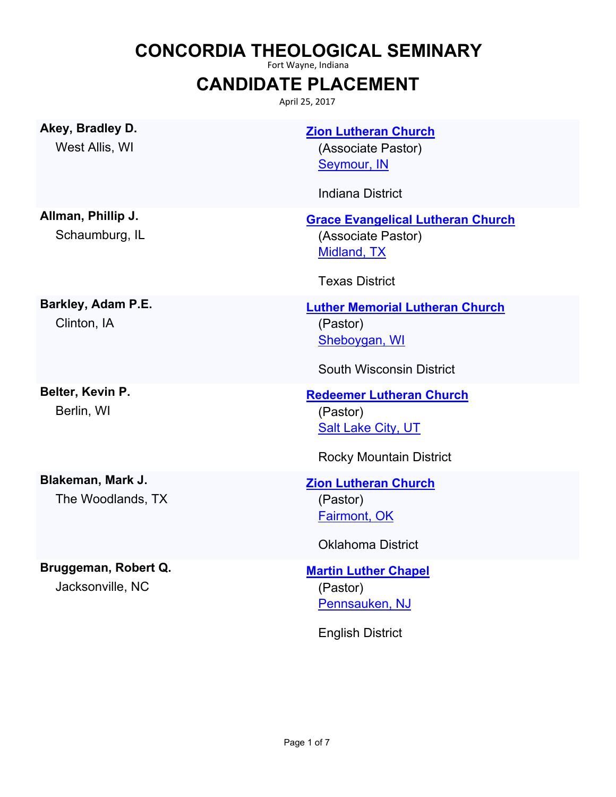## **CONCORDIA THEOLOGICAL SEMINARY**

Fort Wayne, Indiana

## **CANDIDATE PLACEMENT**

April 25, 2017

| Akey, Bradley D.<br>West Allis, WI       | <b>Zion Lutheran Church</b><br>(Associate Pastor)<br>Seymour, IN<br><b>Indiana District</b>                |
|------------------------------------------|------------------------------------------------------------------------------------------------------------|
| Allman, Phillip J.<br>Schaumburg, IL     | <b>Grace Evangelical Lutheran Church</b><br>(Associate Pastor)<br>Midland, TX<br><b>Texas District</b>     |
| Barkley, Adam P.E.<br>Clinton, IA        | <b>Luther Memorial Lutheran Church</b><br>(Pastor)<br>Sheboygan, WI<br><b>South Wisconsin District</b>     |
| Belter, Kevin P.<br>Berlin, WI           | <b>Redeemer Lutheran Church</b><br>(Pastor)<br><b>Salt Lake City, UT</b><br><b>Rocky Mountain District</b> |
| Blakeman, Mark J.<br>The Woodlands, TX   | <b>Zion Lutheran Church</b><br>(Pastor)<br><b>Fairmont, OK</b><br><b>Oklahoma District</b>                 |
| Bruggeman, Robert Q.<br>Jacksonville, NC | <b>Martin Luther Chapel</b><br>(Pastor)<br>Pennsauken, NJ                                                  |

English District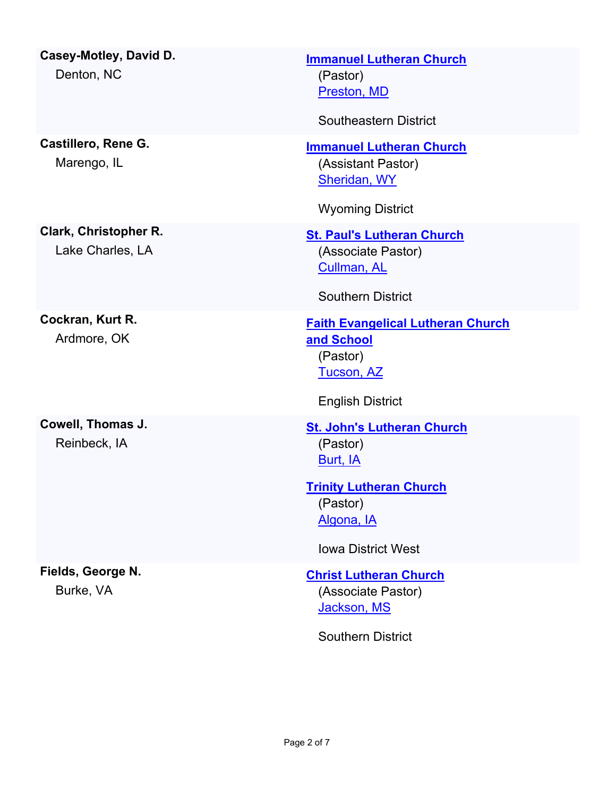| Casey-Motley, David D.<br>Denton, NC      | <b>Immanuel Lutheran Church</b><br>(Pastor)<br>Preston, MD<br><b>Southeastern District</b>                                                         |
|-------------------------------------------|----------------------------------------------------------------------------------------------------------------------------------------------------|
| Castillero, Rene G.<br>Marengo, IL        | <b>Immanuel Lutheran Church</b><br>(Assistant Pastor)<br>Sheridan, WY<br><b>Wyoming District</b>                                                   |
| Clark, Christopher R.<br>Lake Charles, LA | <b>St. Paul's Lutheran Church</b><br>(Associate Pastor)<br>Cullman, AL<br><b>Southern District</b>                                                 |
| Cockran, Kurt R.<br>Ardmore, OK           | <b>Faith Evangelical Lutheran Church</b><br>and School<br>(Pastor)<br><b>Tucson, AZ</b><br><b>English District</b>                                 |
| Cowell, Thomas J.<br>Reinbeck, IA         | <b>St. John's Lutheran Church</b><br>(Pastor)<br>Burt, IA<br><b>Trinity Lutheran Church</b><br>(Pastor)<br>Algona, IA<br><b>Iowa District West</b> |
| Fields, George N.<br>Burke, VA            | <b>Christ Lutheran Church</b><br>(Associate Pastor)<br>Jackson, MS<br><b>Southern District</b>                                                     |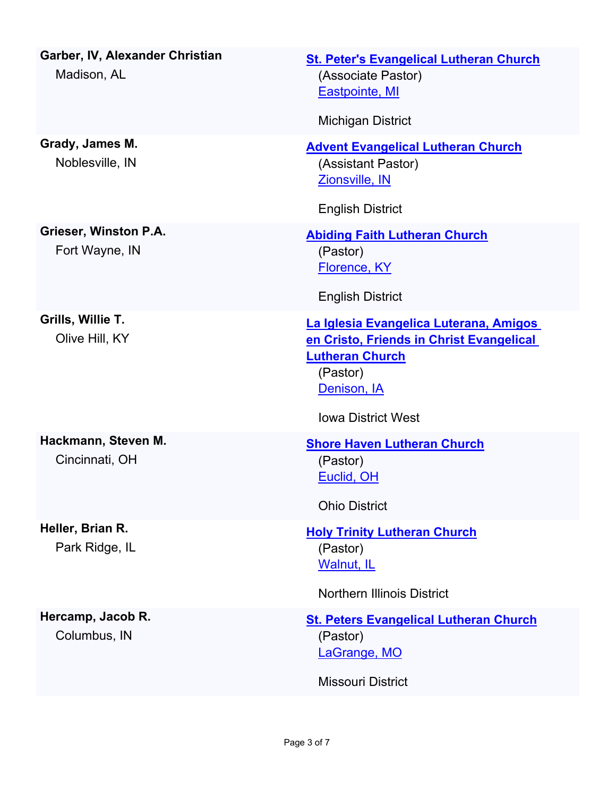| Garber, IV, Alexander Christian<br>Madison, AL | <b>St. Peter's Evangelical Lutheran Church</b><br>(Associate Pastor)<br><b>Eastpointe, MI</b><br><b>Michigan District</b>                                            |
|------------------------------------------------|----------------------------------------------------------------------------------------------------------------------------------------------------------------------|
|                                                |                                                                                                                                                                      |
| Grady, James M.<br>Noblesville, IN             | <b>Advent Evangelical Lutheran Church</b><br>(Assistant Pastor)<br>Zionsville, IN                                                                                    |
|                                                | <b>English District</b>                                                                                                                                              |
| Grieser, Winston P.A.<br>Fort Wayne, IN        | <b>Abiding Faith Lutheran Church</b><br>(Pastor)<br>Florence, KY                                                                                                     |
|                                                | <b>English District</b>                                                                                                                                              |
| Grills, Willie T.<br>Olive Hill, KY            | La Iglesia Evangelica Luterana, Amigos<br>en Cristo, Friends in Christ Evangelical<br><b>Lutheran Church</b><br>(Pastor)<br>Denison, IA<br><b>Iowa District West</b> |
| Hackmann, Steven M.<br>Cincinnati, OH          | <b>Shore Haven Lutheran Church</b><br>(Pastor)<br>Euclid, OH<br><b>Ohio District</b>                                                                                 |
| Heller, Brian R.<br>Park Ridge, IL             | <b>Holy Trinity Lutheran Church</b><br>(Pastor)<br><b>Walnut, IL</b><br><b>Northern Illinois District</b>                                                            |
| Hercamp, Jacob R.<br>Columbus, IN              | <b>St. Peters Evangelical Lutheran Church</b><br>(Pastor)<br>LaGrange, MO<br><b>Missouri District</b>                                                                |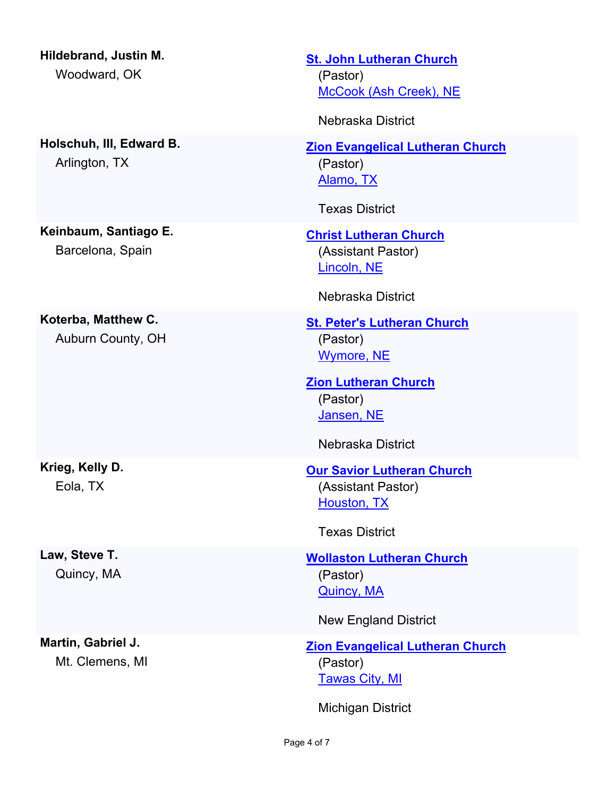| Hildebrand, Justin M.<br>Woodward, OK     | <b>St. John Lutheran Church</b><br>(Pastor)<br>McCook (Ash Creek), NE<br>Nebraska District                                                        |
|-------------------------------------------|---------------------------------------------------------------------------------------------------------------------------------------------------|
| Holschuh, III, Edward B.<br>Arlington, TX | <b>Zion Evangelical Lutheran Church</b><br>(Pastor)<br>Alamo, TX<br><b>Texas District</b>                                                         |
| Keinbaum, Santiago E.<br>Barcelona, Spain | <b>Christ Lutheran Church</b><br>(Assistant Pastor)<br>Lincoln, NE<br>Nebraska District                                                           |
| Koterba, Matthew C.<br>Auburn County, OH  | <b>St. Peter's Lutheran Church</b><br>(Pastor)<br><b>Wymore, NE</b><br><b>Zion Lutheran Church</b><br>(Pastor)<br>Jansen, NE<br>Nebraska District |
| Krieg, Kelly D.<br>Eola, TX               | <b>Our Savior Lutheran Church</b><br>(Assistant Pastor)<br>Houston, TX<br><b>Texas District</b>                                                   |
| Law, Steve T.<br>Quincy, MA               | <b>Wollaston Lutheran Church</b><br>(Pastor)<br><b>Quincy, MA</b><br><b>New England District</b>                                                  |
| Martin, Gabriel J.<br>Mt. Clemens, MI     | <b>Zion Evangelical Lutheran Church</b><br>(Pastor)<br><b>Tawas City, MI</b><br><b>Michigan District</b>                                          |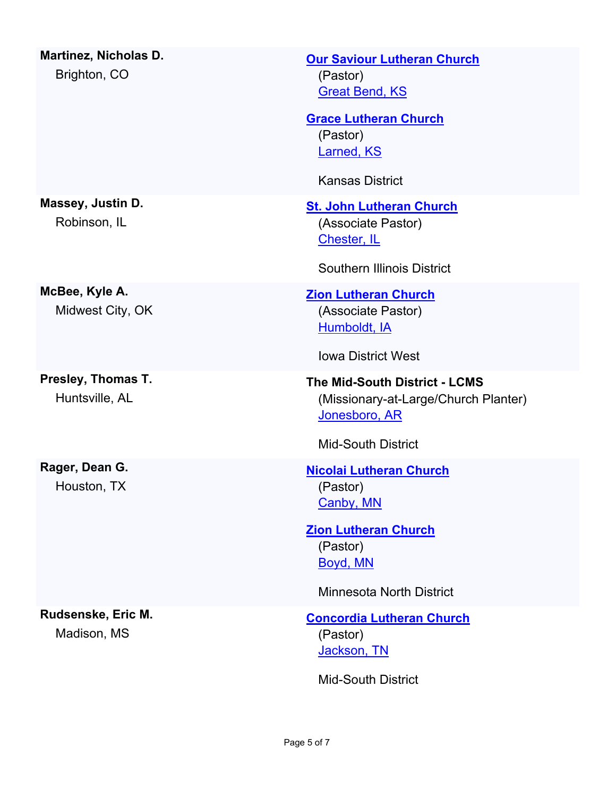| <b>Martinez, Nicholas D.</b><br>Brighton, CO | <b>Our Saviour Lutheran Church</b><br>(Pastor)<br><b>Great Bend, KS</b><br><b>Grace Lutheran Church</b><br>(Pastor)<br><b>Larned, KS</b><br><b>Kansas District</b> |
|----------------------------------------------|--------------------------------------------------------------------------------------------------------------------------------------------------------------------|
| Massey, Justin D.<br>Robinson, IL            | <b>St. John Lutheran Church</b><br>(Associate Pastor)<br>Chester, IL<br><b>Southern Illinois District</b>                                                          |
| McBee, Kyle A.<br>Midwest City, OK           | <b>Zion Lutheran Church</b><br>(Associate Pastor)<br><b>Humboldt</b> , IA<br><b>Iowa District West</b>                                                             |
| Presley, Thomas T.<br>Huntsville, AL         | <b>The Mid-South District - LCMS</b><br>(Missionary-at-Large/Church Planter)<br>Jonesboro, AR<br><b>Mid-South District</b>                                         |
| Rager, Dean G.<br>Houston, TX                | <b>Nicolai Lutheran Church</b><br>(Pastor)<br><u>Canby, MN</u><br><b>Zion Lutheran Church</b><br>(Pastor)<br>Boyd, MN<br><b>Minnesota North District</b>           |
| Rudsenske, Eric M.<br>Madison, MS            | <b>Concordia Lutheran Church</b><br>(Pastor)<br>Jackson, TN<br><b>Mid-South District</b>                                                                           |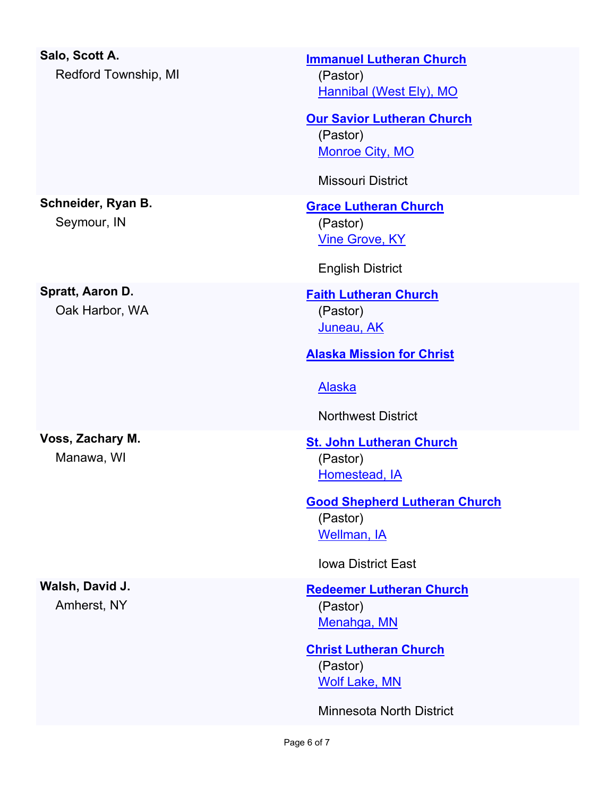| Salo, Scott A.<br>Redford Township, MI | <b>Immanuel Lutheran Church</b><br>(Pastor)<br>Hannibal (West Ely), MO<br><b>Our Savior Lutheran Church</b><br>(Pastor)<br><b>Monroe City, MO</b>                  |
|----------------------------------------|--------------------------------------------------------------------------------------------------------------------------------------------------------------------|
|                                        | <b>Missouri District</b>                                                                                                                                           |
| Schneider, Ryan B.<br>Seymour, IN      | <b>Grace Lutheran Church</b><br>(Pastor)<br><b>Vine Grove, KY</b><br><b>English District</b>                                                                       |
| Spratt, Aaron D.<br>Oak Harbor, WA     | <b>Faith Lutheran Church</b><br>(Pastor)<br><b>Juneau, AK</b><br><b>Alaska Mission for Christ</b><br><b>Alaska</b><br><b>Northwest District</b>                    |
| Voss, Zachary M.<br>Manawa, WI         | <b>St. John Lutheran Church</b><br>(Pastor)<br>Homestead, IA<br><b>Good Shepherd Lutheran Church</b><br>(Pastor)<br>Wellman, IA<br><b>Iowa District East</b>       |
| Walsh, David J.<br>Amherst, NY         | <b>Redeemer Lutheran Church</b><br>(Pastor)<br>Menahga, MN<br><b>Christ Lutheran Church</b><br>(Pastor)<br><b>Wolf Lake, MN</b><br><b>Minnesota North District</b> |